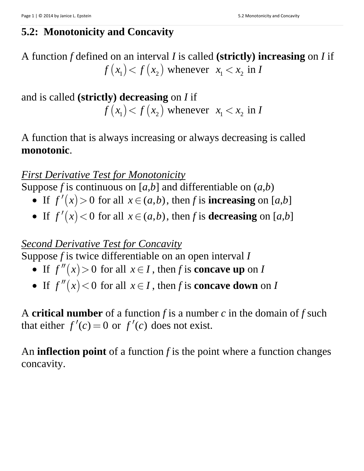# **5.2: Monotonicity and Concavity**

A function *f* defined on an interval *I* is called **(strictly) increasing** on *I* if  $f(x_1) < f(x_2)$  whenever  $x_1 < x_2$  in *I* 

and is called **(strictly) decreasing** on *I* if  $f(x_1) < f(x_2)$  whenever  $x_1 < x_2$  in *I* 

A function that is always increasing or always decreasing is called **monotonic**.

#### *First Derivative Test for Monotonicity*

Suppose *f* is continuous on [ $a$ , $b$ ] and differentiable on  $(a,b)$ 

- If  $f'(x) > 0$  for all  $x \in (a,b)$ , then *f* is **increasing** on [*a*,*b*]
- If  $f'(x) < 0$  for all  $x \in (a,b)$ , then *f* is **decreasing** on [*a*,*b*]

### *Second Derivative Test for Concavity*

Suppose *f* is twice differentiable on an open interval *I*

- If  $f''(x) > 0$  for all  $x \in I$ , then *f* is **concave up** on *I*
- If  $f''(x) < 0$  for all  $x \in I$ , then *f* is **concave down** on *I*

A **critical number** of a function *f* is a number *c* in the domain of *f* such that either  $f'(c) = 0$  or  $f'(c)$  does not exist.

An **inflection point** of a function *f* is the point where a function changes concavity.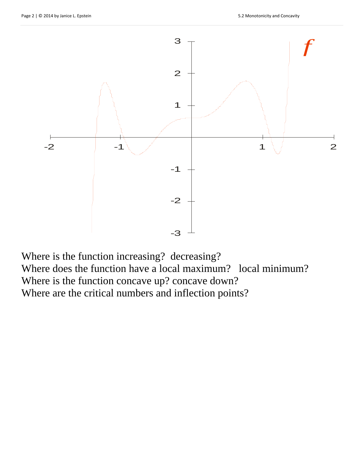

Where is the function increasing? decreasing? Where does the function have a local maximum? local minimum? Where is the function concave up? concave down? Where are the critical numbers and inflection points?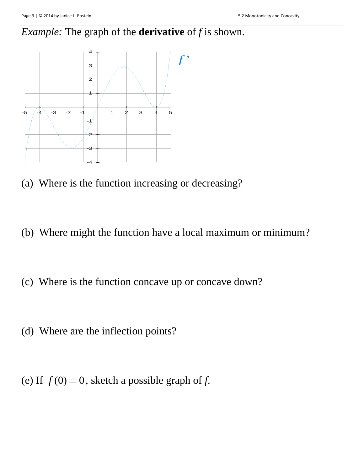# *Example:* The graph of the **derivative** of *f* is shown.



- (a) Where is the function increasing or decreasing?
- (b) Where might the function have a local maximum or minimum?
- (c) Where is the function concave up or concave down?
- (d) Where are the inflection points?

(e) If  $f(0) = 0$ , sketch a possible graph of *f*.